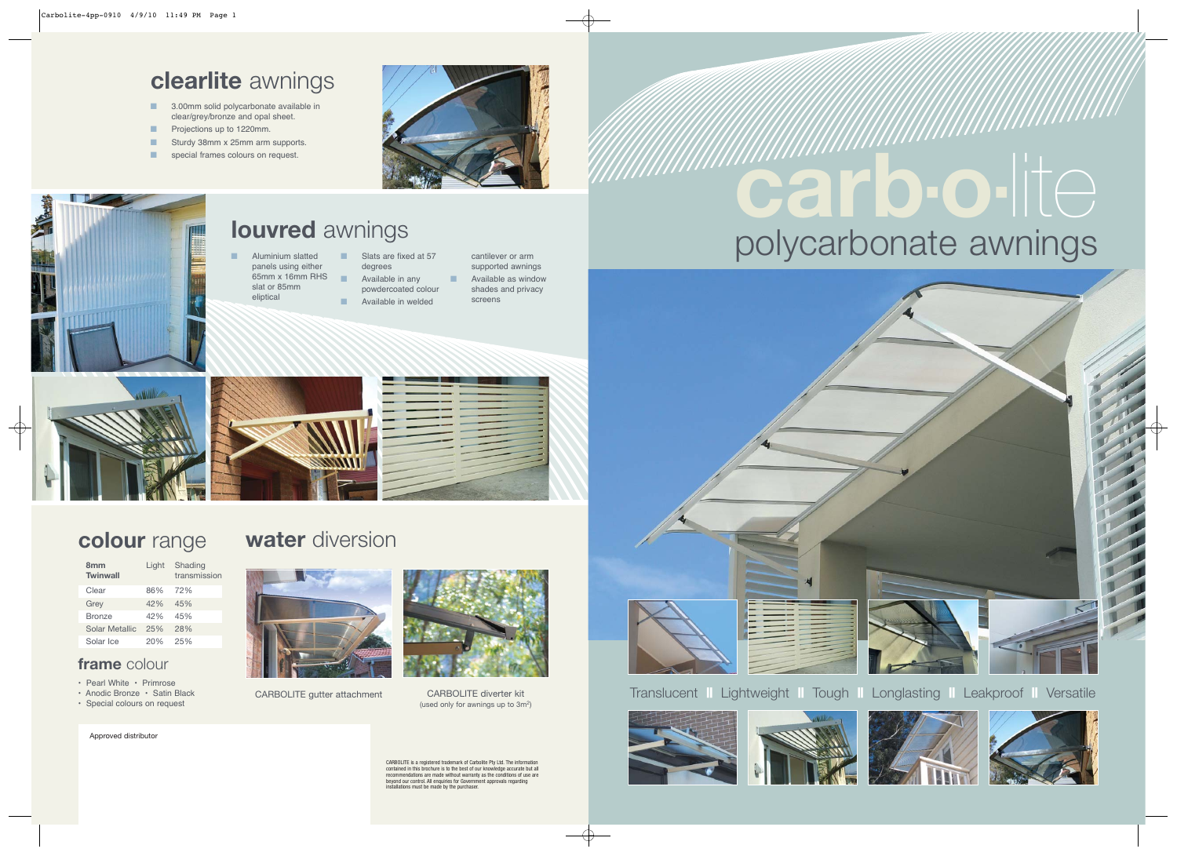#### Translucent **||** Lightweight **||** Tough **||** Longlasting **||** Leakproof **||** Versatile



# polycarbonate awnings **carb-o-**lite







CARBOLITE is a registered trademark of Carbolite Pty Ltd. The information contained in this brochure is to the best of our knowledge accurate but all recommendations are made without warranty as the conditions of use are beyond our control. All enquiries for Government approvals regarding installations must be made by the purchaser.





Approved distributor

- Aluminium slatted panels using either 65mm x 16mm RHS slat or 85mm eliptical
- Slats are fixed at 57 degrees
- **B** Available in any powdercoated colour
- **E** Available in welded
- cantilever or arm supported awnings Available as window shades and privacy screens





#### **clearlite** awnings

![](_page_0_Picture_15.jpeg)

- 3.00mm solid polycarbonate available in clear/grey/bronze and opal sheet.
- Projections up to 1220mm.
- Sturdy 38mm x 25mm arm supports.
- special frames colours on request.

![](_page_0_Picture_5.jpeg)

![](_page_0_Picture_6.jpeg)

- Pearl White Primrose
- Anodic Bronze Satin Black
- Special colours on request

# **colour** range **water** diversion

![](_page_0_Picture_23.jpeg)

#### **louvred** awnings

| 8 <sub>mm</sub><br><b>Twinwall</b> | Light | Shading<br>transmission |
|------------------------------------|-------|-------------------------|
| Clear                              | 86%   | 72%                     |
| Grey                               | 42%   | 45%                     |
| <b>Bronze</b>                      | 42%   | 45%                     |
| Solar Metallic                     | 25%   | 28%                     |
| Solar Ice                          | 20%   | 25%                     |
|                                    |       |                         |

#### **frame** colour

CARBOLITE gutter attachment CARBOLITE diverter kit

![](_page_0_Picture_25.jpeg)

(used only for awnings up to 3m2)